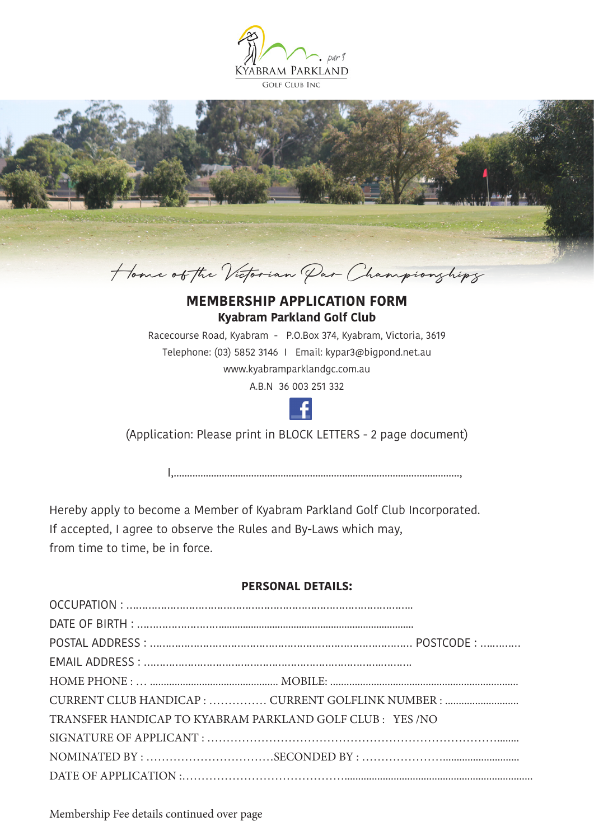



## **MEMBERSHIP APPLICATION FORM Kyabram Parkland Golf Club**

Racecourse Road, Kyabram - P.O.Box 374, Kyabram, Victoria, 3619 Telephone: (03) 5852 3146 I Email: kypar3@bigpond.net.au www.kyabramparklandgc.com.au

A.B.N 36 003 251 332



(Application: Please print in BLOCK LETTERS - 2 page document)

I,...........................................................................................................,

Hereby apply to become a Member of Kyabram Parkland Golf Club Incorporated. If accepted, I agree to observe the Rules and By-Laws which may, from time to time, be in force.

## **PERSONAL DETAILS:**

|                                                          | CURRENT CLUB HANDICAP :  CURRENT GOLFLINK NUMBER : |
|----------------------------------------------------------|----------------------------------------------------|
| TRANSFER HANDICAP TO KYABRAM PARKLAND GOLF CLUB: YES /NO |                                                    |
|                                                          |                                                    |
|                                                          |                                                    |
|                                                          |                                                    |

Membership Fee details continued over page